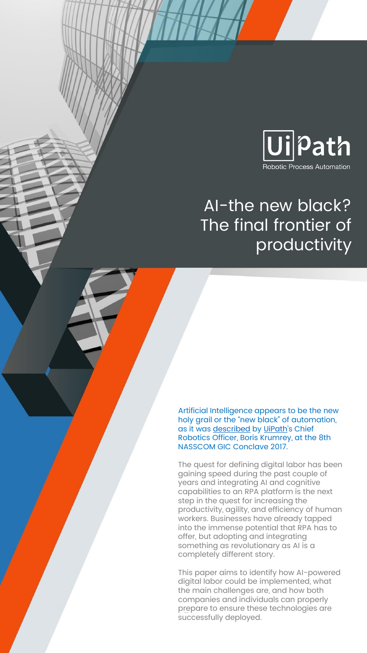

# AI-the new black? The final frontier of productivity

Artificial Intelligence appears to be the new holy grail or the "new black" of automation, as it was <u>[described](https://www.youtube.com/watch?v=PkFebVHZIEY)</u> by <u>UiPath</u>'s Chief Robotics Officer, Boris Krumrey, at the 8th NASSCOM GIC Conclave 2017.

The quest for defining digital labor has been gaining speed during the past couple of years and integrating AI and cognitive capabilities to an RPA platform is the next step in the quest for increasing the productivity, agility, and efficiency of human workers. Businesses have already tapped into the immense potential that RPA has to offer, but adopting and integrating something as revolutionary as AI is a completely different story.

This paper aims to identify how AI-powered digital labor could be implemented, what the main challenges are, and how both companies and individuals can properly prepare to ensure these technologies are successfully deployed.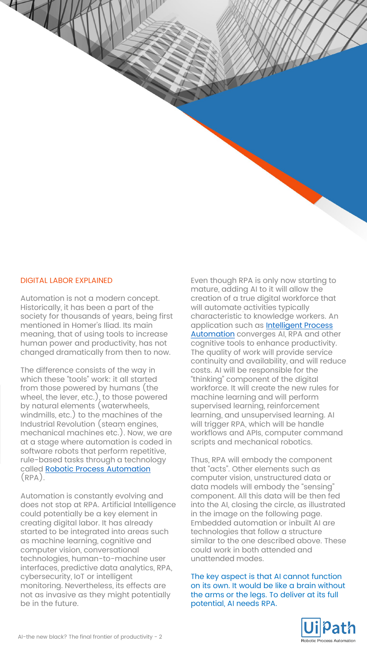#### DIGITAL LABOR EXPLAINED

 $47$ 

Automation is not a modern concept. Historically, it has been a part of the society for thousands of years, being first mentioned in Homer's Iliad. Its main meaning, that of using tools to increase human power and productivity, has not changed dramatically from then to now.

The difference consists of the way in which these "tools" work: it all started from those powered by humans (the wheel, the lever, etc.), to those powered by natural elements (waterwheels, windmills, etc.) to the machines of the Industrial Revolution (steam engines, mechanical machines etc.). Now, we are at a stage where automation is coded in software robots that perform repetitive, rule-based tasks through a technology called [Robotic Process Automation](https://www.uipath.com/automate/robotic-process-automation) (RPA).

Automation is constantly evolving and does not stop at RPA. Artificial Intelligence could potentially be a key element in creating digital labor. It has already started to be integrated into areas such as machine learning, cognitive and computer vision, conversational technologies, human-to-machine user interfaces, predictive data analytics, RPA, cybersecurity, IoT or intelligent monitoring. Nevertheless, its effects are not as invasive as they might potentially be in the future.

Even though RPA is only now starting to mature, adding AI to it will allow the creation of a true digital workforce that will automate activities typically characteristic to knowledge workers. An [application such as Intelligent Process](https://www.uipath.com/automate/intelligent-process-automation)  **Automation** converges AI, RPA and other cognitive tools to enhance productivity. The quality of work will provide service continuity and availability, and will reduce costs. AI will be responsible for the "thinking" component of the digital workforce. It will create the new rules for machine learning and will perform supervised learning, reinforcement learning, and unsupervised learning. AI will trigger RPA, which will be handle workflows and APIs, computer command scripts and mechanical robotics.

Thus, RPA will embody the component that "acts". Other elements such as computer vision, unstructured data or data models will embody the "sensing" component. All this data will be then fed into the AI, closing the circle, as illustrated in the image on the following page. Embedded automation or inbuilt AI are technologies that follow a structure similar to the one described above. These could work in both attended and unattended modes.

The key aspect is that AI cannot function on its own. It would be like a brain without the arms or the legs. To deliver at its full potential, AI needs RPA.

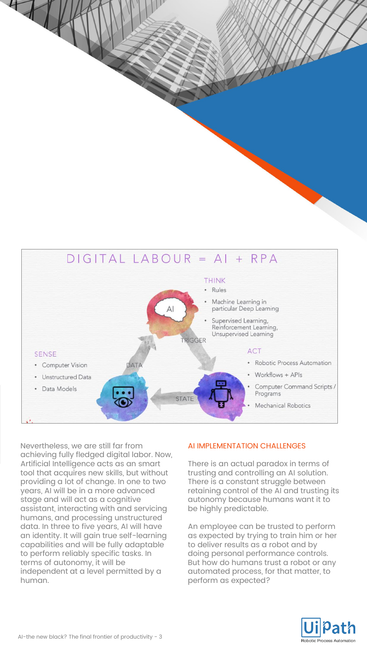

Nevertheless, we are still far from achieving fully fledged digital labor. Now, Artificial Intelligence acts as an smart tool that acquires new skills, but without providing a lot of change. In one to two years, AI will be in a more advanced stage and will act as a cognitive assistant, interacting with and servicing humans, and processing unstructured data. In three to five years, AI will have an identity. It will gain true self-learning capabilities and will be fully adaptable to perform reliably specific tasks. In terms of autonomy, it will be independent at a level permitted by a human.

 $H$ 

# AI IMPLEMENTATION CHALLENGES

There is an actual paradox in terms of trusting and controlling an AI solution. There is a constant struggle between retaining control of the AI and trusting its autonomy because humans want it to be highly predictable.

An employee can be trusted to perform as expected by trying to train him or her to deliver results as a robot and by doing personal performance controls. But how do humans trust a robot or any automated process, for that matter, to perform as expected?

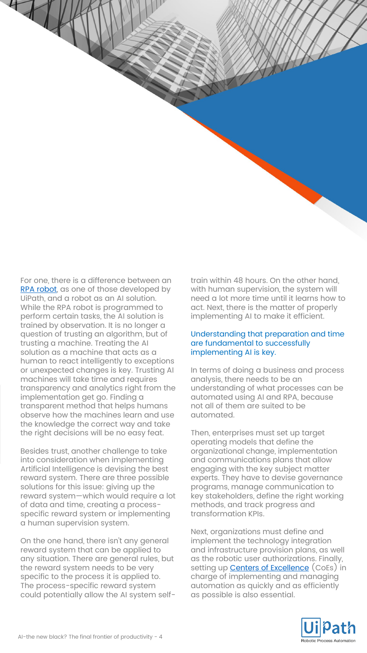For one, there is a difference between an [RPA robot,](https://www.uipath.com/robot) as one of those developed by UiPath, and a robot as an AI solution. While the RPA robot is programmed to perform certain tasks, the AI solution is trained by observation. It is no longer a question of trusting an algorithm, but of trusting a machine. Treating the AI solution as a machine that acts as a human to react intelligently to exceptions or unexpected changes is key. Trusting AI machines will take time and requires transparency and analytics right from the implementation get go. Finding a transparent method that helps humans observe how the machines learn and use the knowledge the correct way and take the right decisions will be no easy feat.

 $H$ 

Besides trust, another challenge to take into consideration when implementing Artificial Intelligence is devising the best reward system. There are three possible solutions for this issue: giving up the reward system—which would require a lot of data and time, creating a processspecific reward system or implementing a human supervision system.

On the one hand, there isn't any general reward system that can be applied to any situation. There are general rules, but the reward system needs to be very specific to the process it is applied to. The process-specific reward system could potentially allow the AI system selftrain within 48 hours. On the other hand, with human supervision, the system will need a lot more time until it learns how to act. Next, there is the matter of properly implementing AI to make it efficient.

### Understanding that preparation and time are fundamental to successfully implementing AI is key.

In terms of doing a business and process analysis, there needs to be an understanding of what processes can be automated using AI and RPA, because not all of them are suited to be automated.

Then, enterprises must set up target operating models that define the organizational change, implementation and communications plans that allow engaging with the key subject matter experts. They have to devise governance programs, manage communication to key stakeholders, define the right working methods, and track progress and transformation KPIs.

Next, organizations must define and implement the technology integration and infrastructure provision plans, as well as the robotic user authorizations. Finally, setting up **[Centers of Excellence](https://www.uipath.com/center-of-excellence)** (CoEs) in charge of implementing and managing automation as quickly and as efficiently as possible is also essential.

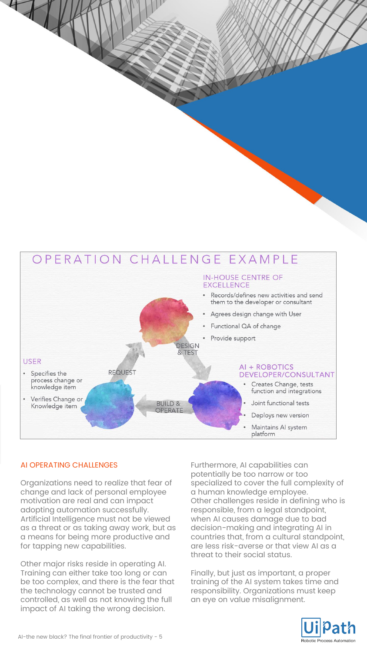#### OPERATION CHALLENGE EXAMPLE **IN-HOUSE CENTRE OF EXCELLENCE** Records/defines new activities and send them to the developer or consultant Agrees design change with User Functional QA of change Provide support **DESIGN** & TEST **USER** AI + ROBOTICS **REQUEST** Specifies the DEVELOPER/CONSULTANT process change or Creates Change, tests knowledge item function and integrations Verifies Change or **BUILD &** Joint functional tests Knowledge item **OPFRATE** Deploys new version Maintains Al system platform

# AI OPERATING CHALLENGES

 $+$ 

Organizations need to realize that fear of change and lack of personal employee motivation are real and can impact adopting automation successfully. Artificial Intelligence must not be viewed as a threat or as taking away work, but as a means for being more productive and for tapping new capabilities.

Other major risks reside in operating AI. Training can either take too long or can be too complex, and there is the fear that the technology cannot be trusted and controlled, as well as not knowing the full impact of AI taking the wrong decision.

Furthermore, AI capabilities can potentially be too narrow or too specialized to cover the full complexity of a human knowledge employee. Other challenges reside in defining who is responsible, from a legal standpoint, when AI causes damage due to bad decision-making and integrating AI in countries that, from a cultural standpoint, are less risk-averse or that view AI as a threat to their social status.

Finally, but just as important, a proper training of the AI system takes time and responsibility. Organizations must keep an eye on value misalignment.